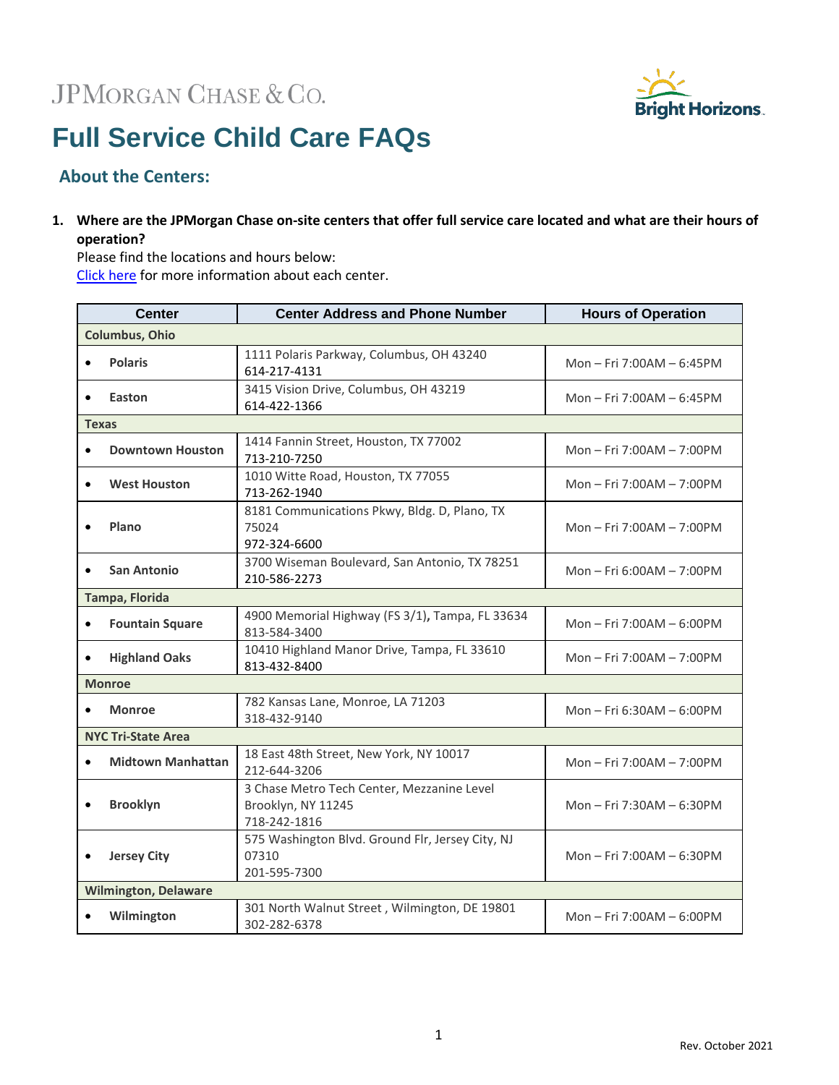# JPMORGAN CHASE & CO.



# **Full Service Child Care FAQs**

# **About the Centers:**

**1. Where are the JPMorgan Chase on-site centers that offer full service care located and what are their hours of operation?**

Please find the locations and hours below: [Click here](http://www.brighthorizons.com/JPMCFullService) for more information about each center.

|                             | <b>Center</b>            | <b>Center Address and Phone Number</b>                                           | <b>Hours of Operation</b> |
|-----------------------------|--------------------------|----------------------------------------------------------------------------------|---------------------------|
| <b>Columbus, Ohio</b>       |                          |                                                                                  |                           |
|                             | <b>Polaris</b>           | 1111 Polaris Parkway, Columbus, OH 43240<br>614-217-4131                         | Mon - Fri 7:00AM - 6:45PM |
|                             | Easton                   | 3415 Vision Drive, Columbus, OH 43219<br>614-422-1366                            | Mon - Fri 7:00AM - 6:45PM |
| <b>Texas</b>                |                          |                                                                                  |                           |
| $\bullet$                   | <b>Downtown Houston</b>  | 1414 Fannin Street, Houston, TX 77002<br>713-210-7250                            | Mon - Fri 7:00AM - 7:00PM |
|                             | <b>West Houston</b>      | 1010 Witte Road, Houston, TX 77055<br>713-262-1940                               | Mon - Fri 7:00AM - 7:00PM |
|                             | Plano                    | 8181 Communications Pkwy, Bldg. D, Plano, TX<br>75024<br>972-324-6600            | Mon - Fri 7:00AM - 7:00PM |
|                             | San Antonio              | 3700 Wiseman Boulevard, San Antonio, TX 78251<br>210-586-2273                    | Mon - Fri 6:00AM - 7:00PM |
| Tampa, Florida              |                          |                                                                                  |                           |
| $\bullet$                   | <b>Fountain Square</b>   | 4900 Memorial Highway (FS 3/1), Tampa, FL 33634<br>813-584-3400                  | Mon-Fri 7:00AM-6:00PM     |
|                             | <b>Highland Oaks</b>     | 10410 Highland Manor Drive, Tampa, FL 33610<br>813-432-8400                      | Mon - Fri 7:00AM - 7:00PM |
| <b>Monroe</b>               |                          |                                                                                  |                           |
|                             | <b>Monroe</b>            | 782 Kansas Lane, Monroe, LA 71203<br>318-432-9140                                | Mon - Fri 6:30AM - 6:00PM |
| <b>NYC Tri-State Area</b>   |                          |                                                                                  |                           |
|                             | <b>Midtown Manhattan</b> | 18 East 48th Street, New York, NY 10017<br>212-644-3206                          | Mon-Fri 7:00AM-7:00PM     |
|                             | <b>Brooklyn</b>          | 3 Chase Metro Tech Center, Mezzanine Level<br>Brooklyn, NY 11245<br>718-242-1816 | Mon - Fri 7:30AM - 6:30PM |
|                             | <b>Jersey City</b>       | 575 Washington Blvd. Ground Flr, Jersey City, NJ<br>07310<br>201-595-7300        | Mon - Fri 7:00AM - 6:30PM |
| <b>Wilmington, Delaware</b> |                          |                                                                                  |                           |
|                             | Wilmington               | 301 North Walnut Street, Wilmington, DE 19801<br>302-282-6378                    | Mon - Fri 7:00AM - 6:00PM |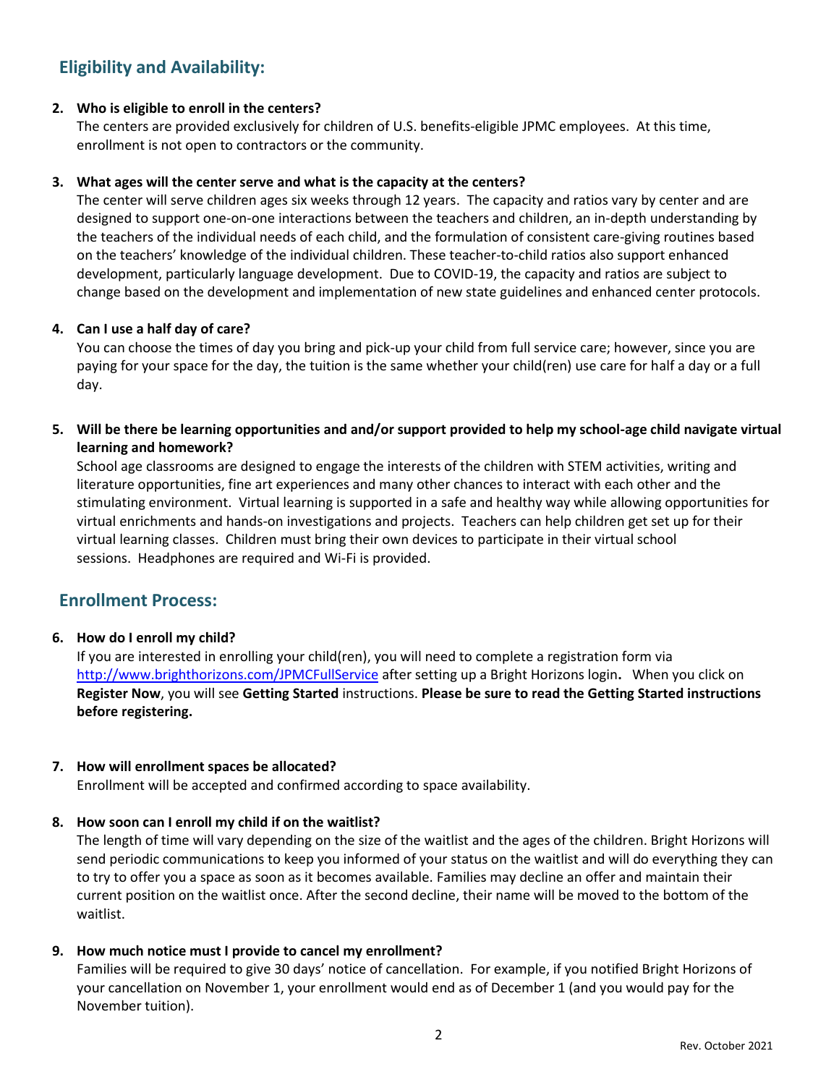# **Eligibility and Availability:**

#### **2. Who is eligible to enroll in the centers?**

The centers are provided exclusively for children of U.S. benefits-eligible JPMC employees. At this time, enrollment is not open to contractors or the community.

#### **3. What ages will the center serve and what is the capacity at the centers?**

The center will serve children ages six weeks through 12 years. The capacity and ratios vary by center and are designed to support one-on-one interactions between the teachers and children, an in-depth understanding by the teachers of the individual needs of each child, and the formulation of consistent care-giving routines based on the teachers' knowledge of the individual children. These teacher-to-child ratios also support enhanced development, particularly language development. Due to COVID-19, the capacity and ratios are subject to change based on the development and implementation of new state guidelines and enhanced center protocols.

#### **4. Can I use a half day of care?**

You can choose the times of day you bring and pick-up your child from full service care; however, since you are paying for your space for the day, the tuition is the same whether your child(ren) use care for half a day or a full day.

## **5. Will be there be learning opportunities and and/or support provided to help my school-age child navigate virtual learning and homework?**

School age classrooms are designed to engage the interests of the children with STEM activities, writing and literature opportunities, fine art experiences and many other chances to interact with each other and the stimulating environment. Virtual learning is supported in a safe and healthy way while allowing opportunities for virtual enrichments and hands-on investigations and projects. Teachers can help children get set up for their virtual learning classes. Children must bring their own devices to participate in their virtual school sessions. Headphones are required and Wi-Fi is provided.

# **Enrollment Process:**

#### **6. How do I enroll my child?**

If you are interested in enrolling your child(ren), you will need to complete a registration form via <http://www.brighthorizons.com/JPMCFullService> after setting up a Bright Horizons login**.** When you click on **Register Now**, you will see **Getting Started** instructions. **Please be sure to read the Getting Started instructions before registering.**

#### **7. How will enrollment spaces be allocated?**

Enrollment will be accepted and confirmed according to space availability.

#### **8. How soon can I enroll my child if on the waitlist?**

The length of time will vary depending on the size of the waitlist and the ages of the children. Bright Horizons will send periodic communications to keep you informed of your status on the waitlist and will do everything they can to try to offer you a space as soon as it becomes available. Families may decline an offer and maintain their current position on the waitlist once. After the second decline, their name will be moved to the bottom of the waitlist.

#### **9. How much notice must I provide to cancel my enrollment?**

Families will be required to give 30 days' notice of cancellation. For example, if you notified Bright Horizons of your cancellation on November 1, your enrollment would end as of December 1 (and you would pay for the November tuition).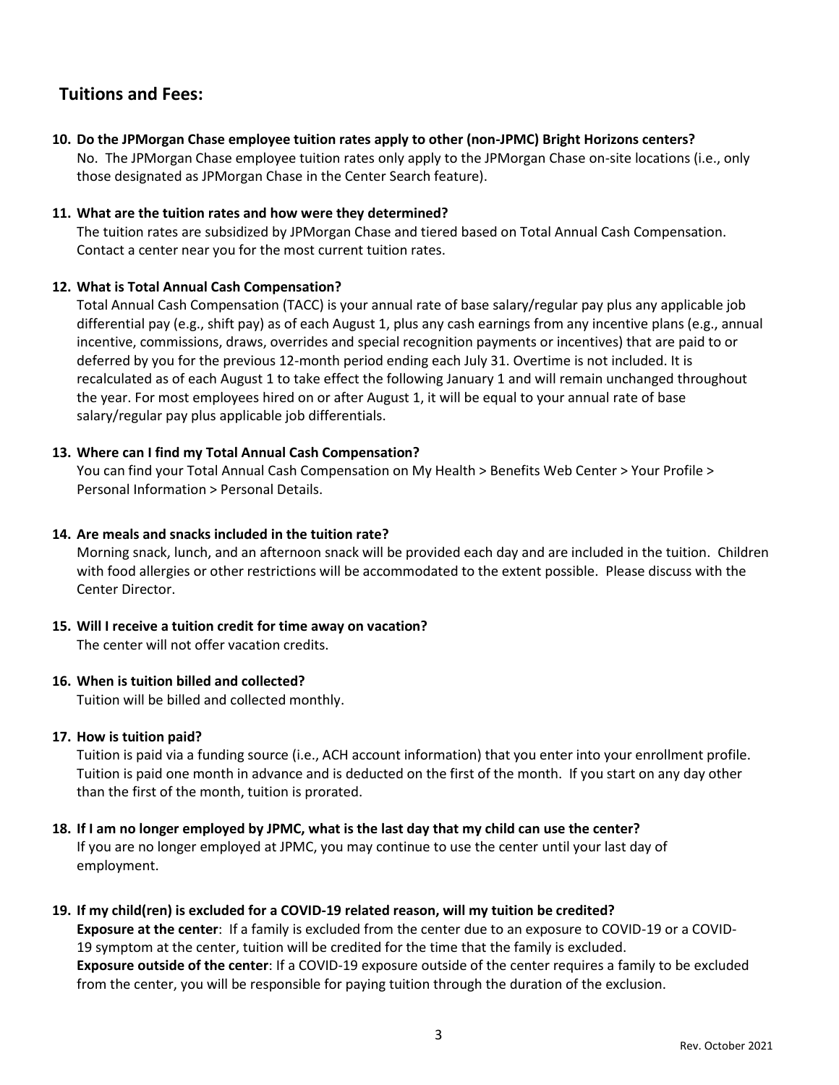# **Tuitions and Fees:**

**10. Do the JPMorgan Chase employee tuition rates apply to other (non-JPMC) Bright Horizons centers?**

No. The JPMorgan Chase employee tuition rates only apply to the JPMorgan Chase on-site locations (i.e., only those designated as JPMorgan Chase in the Center Search feature).

#### **11. What are the tuition rates and how were they determined?**

The tuition rates are subsidized by JPMorgan Chase and tiered based on Total Annual Cash Compensation. Contact a center near you for the most current tuition rates.

# **12. What is Total Annual Cash Compensation?**

Total Annual Cash Compensation (TACC) is your annual rate of base salary/regular pay plus any applicable job differential pay (e.g., shift pay) as of each August 1, plus any cash earnings from any incentive plans (e.g., annual incentive, commissions, draws, overrides and special recognition payments or incentives) that are paid to or deferred by you for the previous 12-month period ending each July 31. Overtime is not included. It is recalculated as of each August 1 to take effect the following January 1 and will remain unchanged throughout the year. For most employees hired on or after August 1, it will be equal to your annual rate of base salary/regular pay plus applicable job differentials.

# **13. Where can I find my Total Annual Cash Compensation?**

You can find your Total Annual Cash Compensation on My Health > Benefits Web Center > Your Profile > Personal Information > Personal Details.

## **14. Are meals and snacks included in the tuition rate?**

Morning snack, lunch, and an afternoon snack will be provided each day and are included in the tuition. Children with food allergies or other restrictions will be accommodated to the extent possible. Please discuss with the Center Director.

#### **15. Will I receive a tuition credit for time away on vacation?**

The center will not offer vacation credits.

# **16. When is tuition billed and collected?**

Tuition will be billed and collected monthly.

#### **17. How is tuition paid?**

Tuition is paid via a funding source (i.e., ACH account information) that you enter into your enrollment profile. Tuition is paid one month in advance and is deducted on the first of the month. If you start on any day other than the first of the month, tuition is prorated.

#### **18. If I am no longer employed by JPMC, what is the last day that my child can use the center?**

If you are no longer employed at JPMC, you may continue to use the center until your last day of employment.

#### **19. If my child(ren) is excluded for a COVID-19 related reason, will my tuition be credited?**

**Exposure at the center**: If a family is excluded from the center due to an exposure to COVID-19 or a COVID-19 symptom at the center, tuition will be credited for the time that the family is excluded. **Exposure outside of the center**: If a COVID-19 exposure outside of the center requires a family to be excluded from the center, you will be responsible for paying tuition through the duration of the exclusion.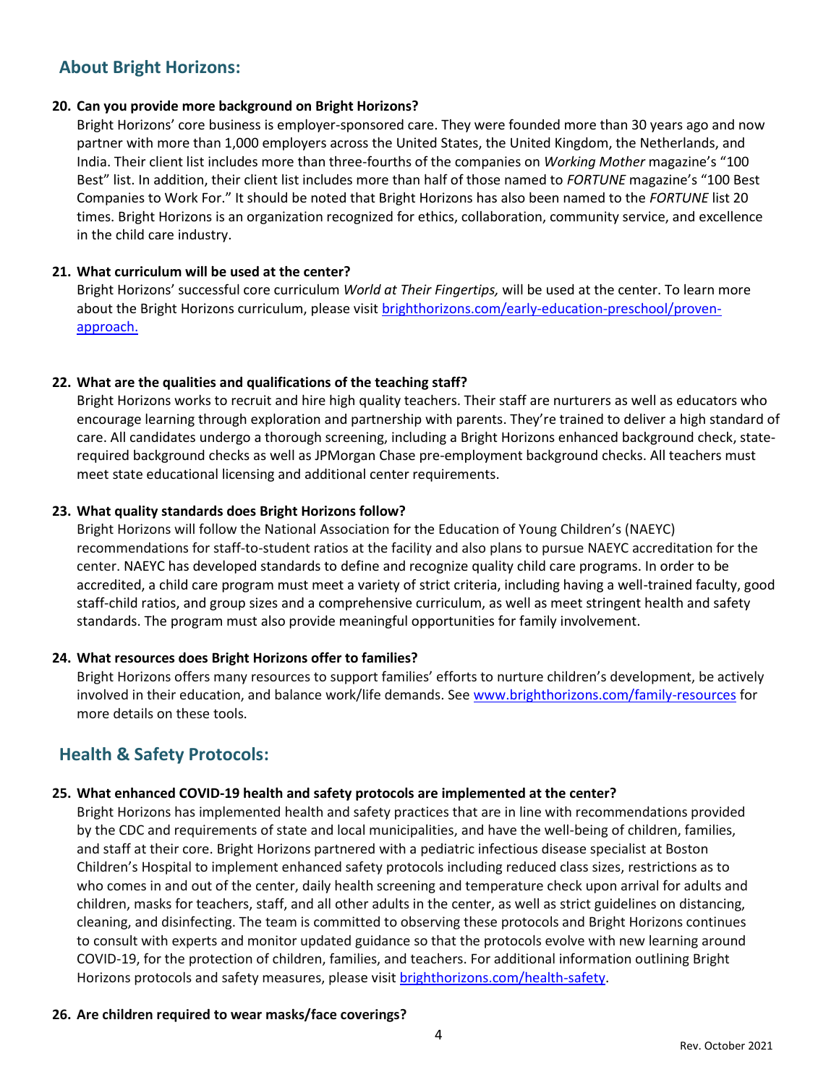# **About Bright Horizons:**

#### **20. Can you provide more background on Bright Horizons?**

Bright Horizons' core business is employer-sponsored care. They were founded more than 30 years ago and now partner with more than 1,000 employers across the United States, the United Kingdom, the Netherlands, and India. Their client list includes more than three-fourths of the companies on *Working Mother* magazine's "100 Best" list. In addition, their client list includes more than half of those named to *FORTUNE* magazine's "100 Best Companies to Work For." It should be noted that Bright Horizons has also been named to the *FORTUNE* list 20 times. Bright Horizons is an organization recognized for ethics, collaboration, community service, and excellence in the child care industry.

#### **21. What curriculum will be used at the center?**

Bright Horizons' successful core curriculum *World at Their Fingertips,* will be used at the center. To learn more about the Bright Horizons curriculum, please visi[t brighthorizons.com/early-education-preschool/proven](https://www.brighthorizons.com/early-education-preschool/proven-approach)[approach.](https://www.brighthorizons.com/early-education-preschool/proven-approach)

#### **22. What are the qualities and qualifications of the teaching staff?**

Bright Horizons works to recruit and hire high quality teachers. Their staff are nurturers as well as educators who encourage learning through exploration and partnership with parents. They're trained to deliver a high standard of care. All candidates undergo a thorough screening, including a Bright Horizons enhanced background check, staterequired background checks as well as JPMorgan Chase pre-employment background checks. All teachers must meet state educational licensing and additional center requirements.

#### **23. What quality standards does Bright Horizons follow?**

Bright Horizons will follow the National Association for the Education of Young Children's (NAEYC) recommendations for staff-to-student ratios at the facility and also plans to pursue NAEYC accreditation for the center. NAEYC has developed standards to define and recognize quality child care programs. In order to be accredited, a child care program must meet a variety of strict criteria, including having a well-trained faculty, good staff-child ratios, and group sizes and a comprehensive curriculum, as well as meet stringent health and safety standards. The program must also provide meaningful opportunities for family involvement.

#### **24. What resources does Bright Horizons offer to families?**

Bright Horizons offers many resources to support families' efforts to nurture children's development, be actively involved in their education, and balance work/life demands. Se[e www.brighthorizons.com/family-resources](http://www.brighthorizons.com/family-resources) for more details on these tools.

# **Health & Safety Protocols:**

#### **25. What enhanced COVID-19 health and safety protocols are implemented at the center?**

Bright Horizons has implemented health and safety practices that are in line with recommendations provided by the CDC and requirements of state and local municipalities, and have the well-being of children, families, and staff at their core. Bright Horizons partnered with a pediatric infectious disease specialist at Boston Children's Hospital to implement enhanced safety protocols including reduced class sizes, restrictions as to who comes in and out of the center, daily health screening and temperature check upon arrival for adults and children, masks for teachers, staff, and all other adults in the center, as well as strict guidelines on distancing, cleaning, and disinfecting. The team is committed to observing these protocols and Bright Horizons continues to consult with experts and monitor updated guidance so that the protocols evolve with new learning around COVID-19, for the protection of children, families, and teachers. For additional information outlining Bright Horizons protocols and safety measures, please visi[t brighthorizons.com/health-safety.](https://www.brighthorizons.com/text-pages/health-safety)

#### **26. Are children required to wear masks/face coverings?**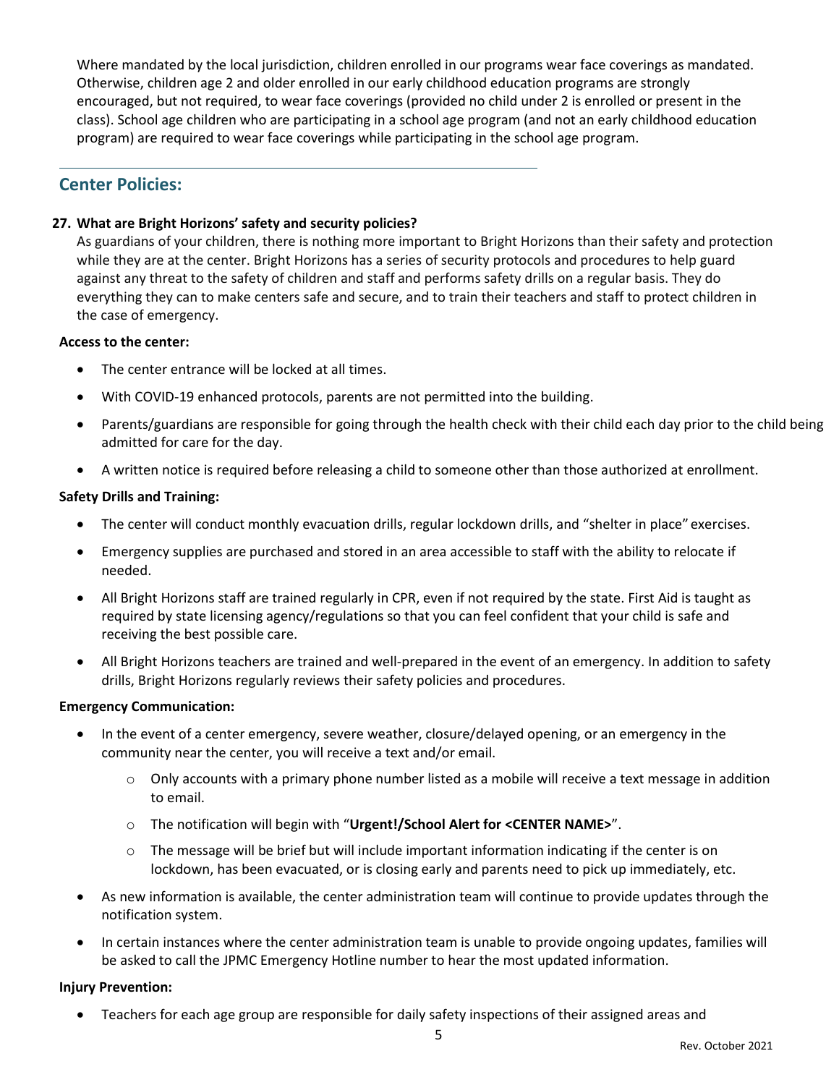Where mandated by the local jurisdiction, children enrolled in our programs wear face coverings as mandated. Otherwise, children age 2 and older enrolled in our early childhood education programs are strongly encouraged, but not required, to wear face coverings (provided no child under 2 is enrolled or present in the class). School age children who are participating in a school age program (and not an early childhood education program) are required to wear face coverings while participating in the school age program.

# **Center Policies:**

## **27. What are Bright Horizons' safety and security policies?**

As guardians of your children, there is nothing more important to Bright Horizons than their safety and protection while they are at the center. Bright Horizons has a series of security protocols and procedures to help guard against any threat to the safety of children and staff and performs safety drills on a regular basis. They do everything they can to make centers safe and secure, and to train their teachers and staff to protect children in the case of emergency.

#### **Access to the center:**

- The center entrance will be locked at all times.
- With COVID-19 enhanced protocols, parents are not permitted into the building.
- Parents/guardians are responsible for going through the health check with their child each day prior to the child being admitted for care for the day.
- A written notice is required before releasing a child to someone other than those authorized at enrollment.

#### **Safety Drills and Training:**

- The center will conduct monthly evacuation drills, regular lockdown drills, and "shelter in place" exercises.
- Emergency supplies are purchased and stored in an area accessible to staff with the ability to relocate if needed.
- All Bright Horizons staff are trained regularly in CPR, even if not required by the state. First Aid is taught as required by state licensing agency/regulations so that you can feel confident that your child is safe and receiving the best possible care.
- All Bright Horizons teachers are trained and well-prepared in the event of an emergency. In addition to safety drills, Bright Horizons regularly reviews their safety policies and procedures.

#### **Emergency Communication:**

- In the event of a center emergency, severe weather, closure/delayed opening, or an emergency in the community near the center, you will receive a text and/or email.
	- o Only accounts with a primary phone number listed as a mobile will receive a text message in addition to email.
	- o The notification will begin with "**Urgent!/School Alert for <CENTER NAME>**".
	- $\circ$  The message will be brief but will include important information indicating if the center is on lockdown, has been evacuated, or is closing early and parents need to pick up immediately, etc.
- As new information is available, the center administration team will continue to provide updates through the notification system.
- In certain instances where the center administration team is unable to provide ongoing updates, families will be asked to call the JPMC Emergency Hotline number to hear the most updated information.

#### **Injury Prevention:**

Teachers for each age group are responsible for daily safety inspections of their assigned areas and